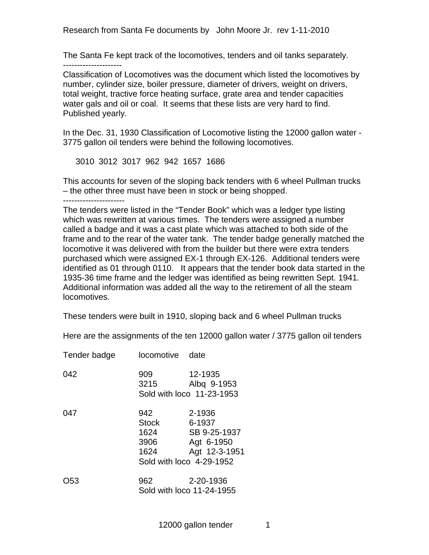Research from Santa Fe documents by John Moore Jr. rev 1-11-2010

The Santa Fe kept track of the locomotives, tenders and oil tanks separately. ---------------------

Classification of Locomotives was the document which listed the locomotives by number, cylinder size, boiler pressure, diameter of drivers, weight on drivers, total weight, tractive force heating surface, grate area and tender capacities water gals and oil or coal. It seems that these lists are very hard to find. Published yearly.

In the Dec. 31, 1930 Classification of Locomotive listing the 12000 gallon water - 3775 gallon oil tenders were behind the following locomotives.

3010 3012 3017 962 942 1657 1686

This accounts for seven of the sloping back tenders with 6 wheel Pullman trucks – the other three must have been in stock or being shopped.

----------------------

The tenders were listed in the "Tender Book" which was a ledger type listing which was rewritten at various times. The tenders were assigned a number called a badge and it was a cast plate which was attached to both side of the frame and to the rear of the water tank. The tender badge generally matched the locomotive it was delivered with from the builder but there were extra tenders purchased which were assigned EX-1 through EX-126. Additional tenders were identified as 01 through 0110. It appears that the tender book data started in the 1935-36 time frame and the ledger was identified as being rewritten Sept. 1941. Additional information was added all the way to the retirement of all the steam locomotives.

These tenders were built in 1910, sloping back and 6 wheel Pullman trucks

Here are the assignments of the ten 12000 gallon water / 3775 gallon oil tenders

| Tender badge | locomotive                           | date                                                                                        |
|--------------|--------------------------------------|---------------------------------------------------------------------------------------------|
| 042          | 909<br>3215                          | 12-1935<br>Albq 9-1953<br>Sold with loco 11-23-1953                                         |
| 047          | 942<br>Stock<br>1624<br>3906<br>1624 | 2-1936<br>6-1937<br>SB 9-25-1937<br>Agt 6-1950<br>Agt 12-3-1951<br>Sold with loco 4-29-1952 |
| O53          | 962                                  | 2-20-1936<br>Sold with loco 11-24-1955                                                      |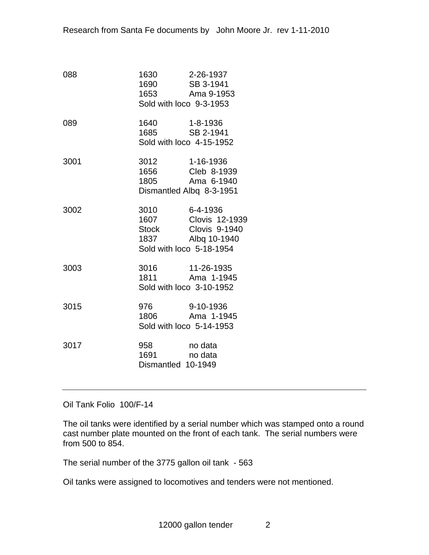| 088  | 1630 2-26-1937<br>1690 SB 3-1941<br>1653 Ama 9-1953<br>Sold with loco 9-3-1953 |                                                                             |
|------|--------------------------------------------------------------------------------|-----------------------------------------------------------------------------|
| 089  | Sold with loco 4-15-1952                                                       |                                                                             |
| 3001 | 3012 1-16-1936<br>1805                                                         | 1656 Cleb 8-1939<br>Ama 6-1940<br>Dismantled Albq 8-3-1951                  |
| 3002 | 1837 — 1837<br>Sold with loco 5-18-1954                                        | 3010 6-4-1936<br>1607 Clovis 12-1939<br>Stock Clovis 9-1940<br>Albq 10-1940 |
| 3003 | 3016 11-26-1935<br>1811 Ama 1-194<br>Sold with loco 3-10-1952                  | Ama 1-1945                                                                  |
| 3015 | Sold with loco 5-14-1953                                                       | 976 9-10-1936<br>1806 Ama 1-1945                                            |
| 3017 | 958 no data<br>1691<br>Dismantled 10-1949                                      | no data                                                                     |

Oil Tank Folio 100/F-14

The oil tanks were identified by a serial number which was stamped onto a round cast number plate mounted on the front of each tank. The serial numbers were from 500 to 854.

The serial number of the 3775 gallon oil tank - 563

Oil tanks were assigned to locomotives and tenders were not mentioned.